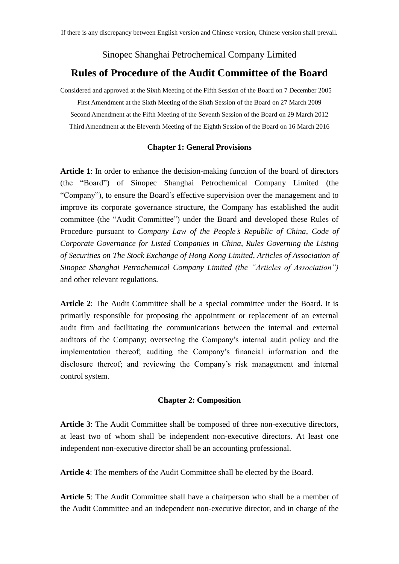# Sinopec Shanghai Petrochemical Company Limited **Rules of Procedure of the Audit Committee of the Board**

Considered and approved at the Sixth Meeting of the Fifth Session of the Board on 7 December 2005 First Amendment at the Sixth Meeting of the Sixth Session of the Board on 27 March 2009 Second Amendment at the Fifth Meeting of the Seventh Session of the Board on 29 March 2012 Third Amendment at the Eleventh Meeting of the Eighth Session of the Board on 16 March 2016

## **Chapter 1: General Provisions**

**Article 1**: In order to enhance the decision-making function of the board of directors (the "Board") of Sinopec Shanghai Petrochemical Company Limited (the "Company"), to ensure the Board's effective supervision over the management and to improve its corporate governance structure, the Company has established the audit committee (the "Audit Committee") under the Board and developed these Rules of Procedure pursuant to *Company Law of the People's Republic of China*, *Code of Corporate Governance for Listed Companies in China*, *Rules Governing the Listing of Securities on The Stock Exchange of Hong Kong Limited*, *Articles of Association of Sinopec Shanghai Petrochemical Company Limited (the "Articles of Association")* and other relevant regulations.

**Article 2**: The Audit Committee shall be a special committee under the Board. It is primarily responsible for proposing the appointment or replacement of an external audit firm and facilitating the communications between the internal and external auditors of the Company; overseeing the Company's internal audit policy and the implementation thereof; auditing the Company's financial information and the disclosure thereof; and reviewing the Company's risk management and internal control system.

## **Chapter 2: Composition**

**Article 3**: The Audit Committee shall be composed of three non-executive directors, at least two of whom shall be independent non-executive directors. At least one independent non-executive director shall be an accounting professional.

**Article 4**: The members of the Audit Committee shall be elected by the Board.

**Article 5**: The Audit Committee shall have a chairperson who shall be a member of the Audit Committee and an independent non-executive director, and in charge of the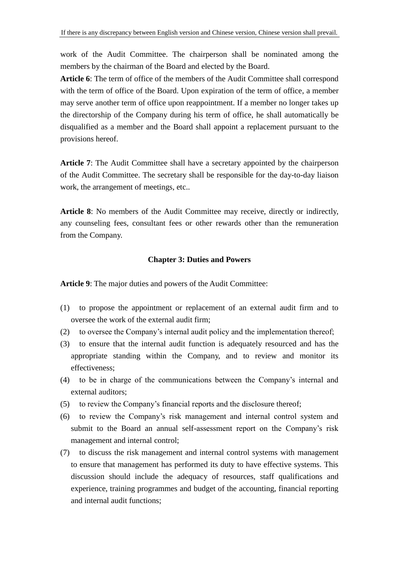work of the Audit Committee. The chairperson shall be nominated among the members by the chairman of the Board and elected by the Board.

**Article 6**: The term of office of the members of the Audit Committee shall correspond with the term of office of the Board. Upon expiration of the term of office, a member may serve another term of office upon reappointment. If a member no longer takes up the directorship of the Company during his term of office, he shall automatically be disqualified as a member and the Board shall appoint a replacement pursuant to the provisions hereof.

**Article 7**: The Audit Committee shall have a secretary appointed by the chairperson of the Audit Committee. The secretary shall be responsible for the day-to-day liaison work, the arrangement of meetings, etc..

**Article 8**: No members of the Audit Committee may receive, directly or indirectly, any counseling fees, consultant fees or other rewards other than the remuneration from the Company.

## **Chapter 3: Duties and Powers**

**Article 9**: The major duties and powers of the Audit Committee:

- (1) to propose the appointment or replacement of an external audit firm and to oversee the work of the external audit firm;
- (2) to oversee the Company's internal audit policy and the implementation thereof;
- (3) to ensure that the internal audit function is adequately resourced and has the appropriate standing within the Company, and to review and monitor its effectiveness;
- (4) to be in charge of the communications between the Company's internal and external auditors;
- (5) to review the Company's financial reports and the disclosure thereof;
- (6) to review the Company's risk management and internal control system and submit to the Board an annual self-assessment report on the Company's risk management and internal control;
- (7) to discuss the risk management and internal control systems with management to ensure that management has performed its duty to have effective systems. This discussion should include the adequacy of resources, staff qualifications and experience, training programmes and budget of the accounting, financial reporting and internal audit functions;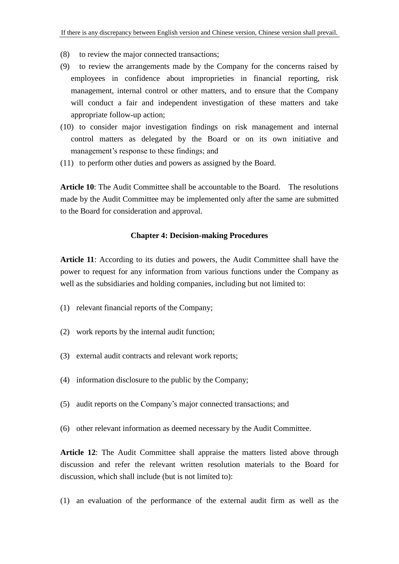- (8) to review the major connected transactions;
- (9) to review the arrangements made by the Company for the concerns raised by employees in confidence about improprieties in financial reporting, risk management, internal control or other matters, and to ensure that the Company will conduct a fair and independent investigation of these matters and take appropriate follow-up action;
- (10) to consider major investigation findings on risk management and internal control matters as delegated by the Board or on its own initiative and management's response to these findings; and
- (11) to perform other duties and powers as assigned by the Board.

**Article 10**: The Audit Committee shall be accountable to the Board. The resolutions made by the Audit Committee may be implemented only after the same are submitted to the Board for consideration and approval.

#### **Chapter 4: Decision-making Procedures**

**Article 11**: According to its duties and powers, the Audit Committee shall have the power to request for any information from various functions under the Company as well as the subsidiaries and holding companies, including but not limited to:

- (1) relevant financial reports of the Company;
- (2) work reports by the internal audit function;
- (3) external audit contracts and relevant work reports;
- (4) information disclosure to the public by the Company;
- (5) audit reports on the Company's major connected transactions; and
- (6) other relevant information as deemed necessary by the Audit Committee.

**Article 12**: The Audit Committee shall appraise the matters listed above through discussion and refer the relevant written resolution materials to the Board for discussion, which shall include (but is not limited to):

(1) an evaluation of the performance of the external audit firm as well as the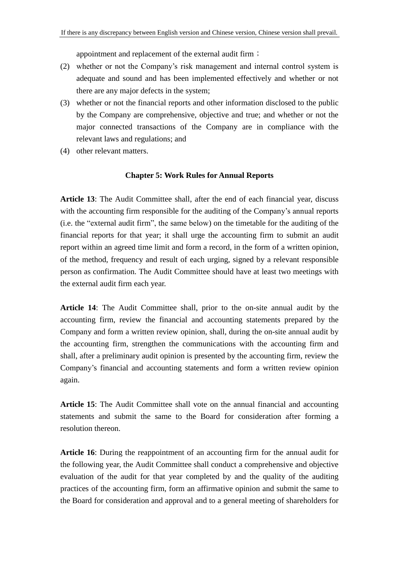appointment and replacement of the external audit firm;

- (2) whether or not the Company's risk management and internal control system is adequate and sound and has been implemented effectively and whether or not there are any major defects in the system;
- (3) whether or not the financial reports and other information disclosed to the public by the Company are comprehensive, objective and true; and whether or not the major connected transactions of the Company are in compliance with the relevant laws and regulations; and
- (4) other relevant matters.

### **Chapter 5: Work Rules for Annual Reports**

**Article 13**: The Audit Committee shall, after the end of each financial year, discuss with the accounting firm responsible for the auditing of the Company's annual reports (i.e. the "external audit firm", the same below) on the timetable for the auditing of the financial reports for that year; it shall urge the accounting firm to submit an audit report within an agreed time limit and form a record, in the form of a written opinion, of the method, frequency and result of each urging, signed by a relevant responsible person as confirmation. The Audit Committee should have at least two meetings with the external audit firm each year.

**Article 14**: The Audit Committee shall, prior to the on-site annual audit by the accounting firm, review the financial and accounting statements prepared by the Company and form a written review opinion, shall, during the on-site annual audit by the accounting firm, strengthen the communications with the accounting firm and shall, after a preliminary audit opinion is presented by the accounting firm, review the Company's financial and accounting statements and form a written review opinion again.

**Article 15**: The Audit Committee shall vote on the annual financial and accounting statements and submit the same to the Board for consideration after forming a resolution thereon.

**Article 16**: During the reappointment of an accounting firm for the annual audit for the following year, the Audit Committee shall conduct a comprehensive and objective evaluation of the audit for that year completed by and the quality of the auditing practices of the accounting firm, form an affirmative opinion and submit the same to the Board for consideration and approval and to a general meeting of shareholders for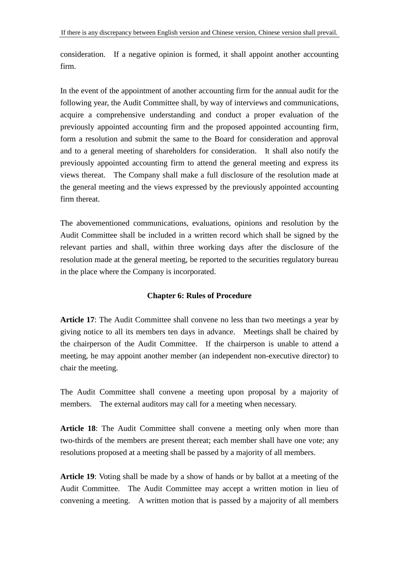consideration. If a negative opinion is formed, it shall appoint another accounting firm.

In the event of the appointment of another accounting firm for the annual audit for the following year, the Audit Committee shall, by way of interviews and communications, acquire a comprehensive understanding and conduct a proper evaluation of the previously appointed accounting firm and the proposed appointed accounting firm, form a resolution and submit the same to the Board for consideration and approval and to a general meeting of shareholders for consideration. It shall also notify the previously appointed accounting firm to attend the general meeting and express its views thereat. The Company shall make a full disclosure of the resolution made at the general meeting and the views expressed by the previously appointed accounting firm thereat.

The abovementioned communications, evaluations, opinions and resolution by the Audit Committee shall be included in a written record which shall be signed by the relevant parties and shall, within three working days after the disclosure of the resolution made at the general meeting, be reported to the securities regulatory bureau in the place where the Company is incorporated.

## **Chapter 6: Rules of Procedure**

**Article 17**: The Audit Committee shall convene no less than two meetings a year by giving notice to all its members ten days in advance. Meetings shall be chaired by the chairperson of the Audit Committee. If the chairperson is unable to attend a meeting, he may appoint another member (an independent non-executive director) to chair the meeting.

The Audit Committee shall convene a meeting upon proposal by a majority of members. The external auditors may call for a meeting when necessary.

**Article 18**: The Audit Committee shall convene a meeting only when more than two-thirds of the members are present thereat; each member shall have one vote; any resolutions proposed at a meeting shall be passed by a majority of all members.

**Article 19**: Voting shall be made by a show of hands or by ballot at a meeting of the Audit Committee. The Audit Committee may accept a written motion in lieu of convening a meeting. A written motion that is passed by a majority of all members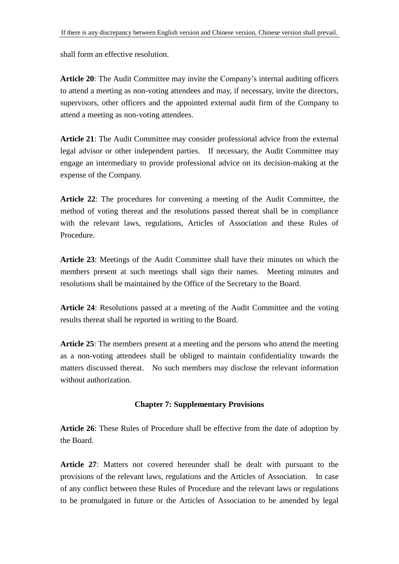shall form an effective resolution.

**Article 20**: The Audit Committee may invite the Company's internal auditing officers to attend a meeting as non-voting attendees and may, if necessary, invite the directors, supervisors, other officers and the appointed external audit firm of the Company to attend a meeting as non-voting attendees.

**Article 21**: The Audit Committee may consider professional advice from the external legal advisor or other independent parties. If necessary, the Audit Committee may engage an intermediary to provide professional advice on its decision-making at the expense of the Company.

**Article 22**: The procedures for convening a meeting of the Audit Committee, the method of voting thereat and the resolutions passed thereat shall be in compliance with the relevant laws, regulations, Articles of Association and these Rules of Procedure.

**Article 23**: Meetings of the Audit Committee shall have their minutes on which the members present at such meetings shall sign their names. Meeting minutes and resolutions shall be maintained by the Office of the Secretary to the Board.

**Article 24**: Resolutions passed at a meeting of the Audit Committee and the voting results thereat shall be reported in writing to the Board.

**Article 25**: The members present at a meeting and the persons who attend the meeting as a non-voting attendees shall be obliged to maintain confidentiality towards the matters discussed thereat. No such members may disclose the relevant information without authorization.

## **Chapter 7: Supplementary Provisions**

**Article 26**: These Rules of Procedure shall be effective from the date of adoption by the Board.

**Article 27**: Matters not covered hereunder shall be dealt with pursuant to the provisions of the relevant laws, regulations and the Articles of Association. In case of any conflict between these Rules of Procedure and the relevant laws or regulations to be promulgated in future or the Articles of Association to be amended by legal